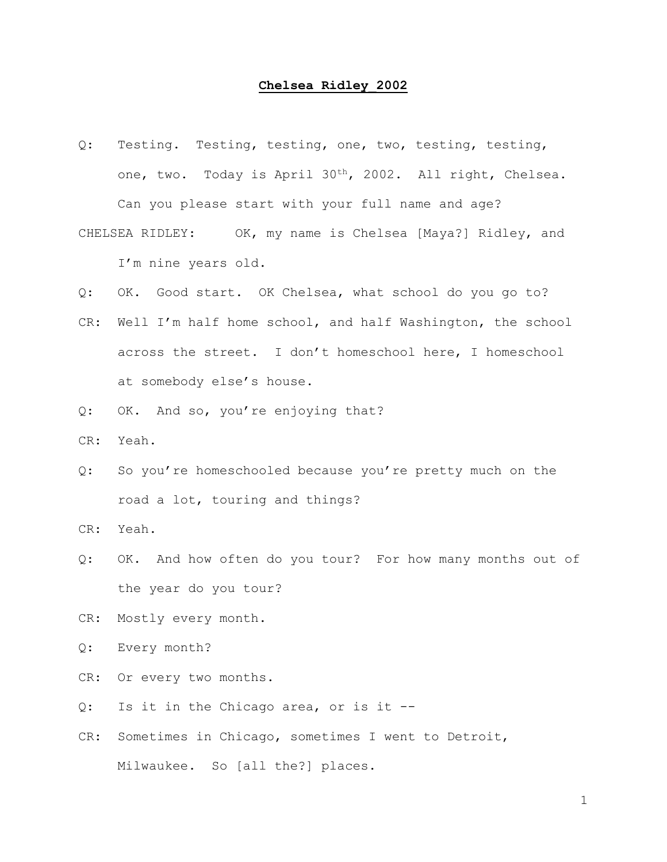## **Chelsea Ridley\_2002**

- Q: Testing. Testing, testing, one, two, testing, testing, one, two. Today is April 30th, 2002. All right, Chelsea. Can you please start with your full name and age?
- CHELSEA RIDLEY: OK, my name is Chelsea [Maya?] Ridley, and I'm nine years old.
- Q: OK. Good start. OK Chelsea, what school do you go to?
- CR: Well I'm half home school, and half Washington, the school across the street. I don't homeschool here, I homeschool at somebody else's house.
- Q: OK. And so, you're enjoying that?
- CR: Yeah.
- Q: So you're homeschooled because you're pretty much on the road a lot, touring and things?
- CR: Yeah.
- Q: OK. And how often do you tour? For how many months out of the year do you tour?
- CR: Mostly every month.
- Q: Every month?
- CR: Or every two months.
- Q: Is it in the Chicago area, or is it --
- CR: Sometimes in Chicago, sometimes I went to Detroit, Milwaukee. So [all the?] places.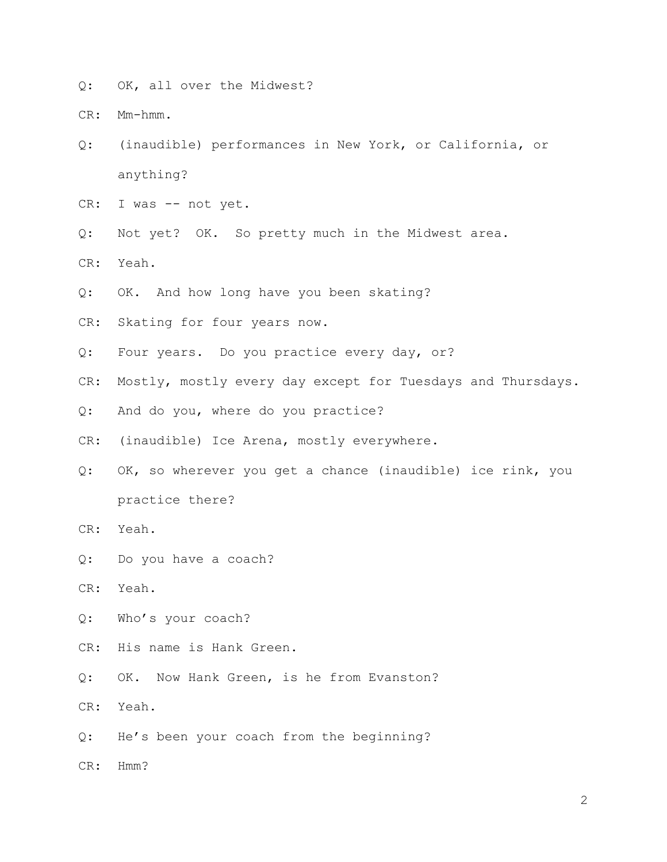Q: OK, all over the Midwest?

CR: Mm-hmm.

- Q: (inaudible) performances in New York, or California, or anything?
- CR: I was -- not yet.
- Q: Not yet? OK. So pretty much in the Midwest area.
- CR: Yeah.
- Q: OK. And how long have you been skating?
- CR: Skating for four years now.
- Q: Four years. Do you practice every day, or?
- CR: Mostly, mostly every day except for Tuesdays and Thursdays.
- Q: And do you, where do you practice?
- CR: (inaudible) Ice Arena, mostly everywhere.
- Q: OK, so wherever you get a chance (inaudible) ice rink, you practice there?
- CR: Yeah.
- Q: Do you have a coach?
- CR: Yeah.
- Q: Who's your coach?
- CR: His name is Hank Green.
- Q: OK. Now Hank Green, is he from Evanston?
- CR: Yeah.
- Q: He's been your coach from the beginning?
- CR: Hmm?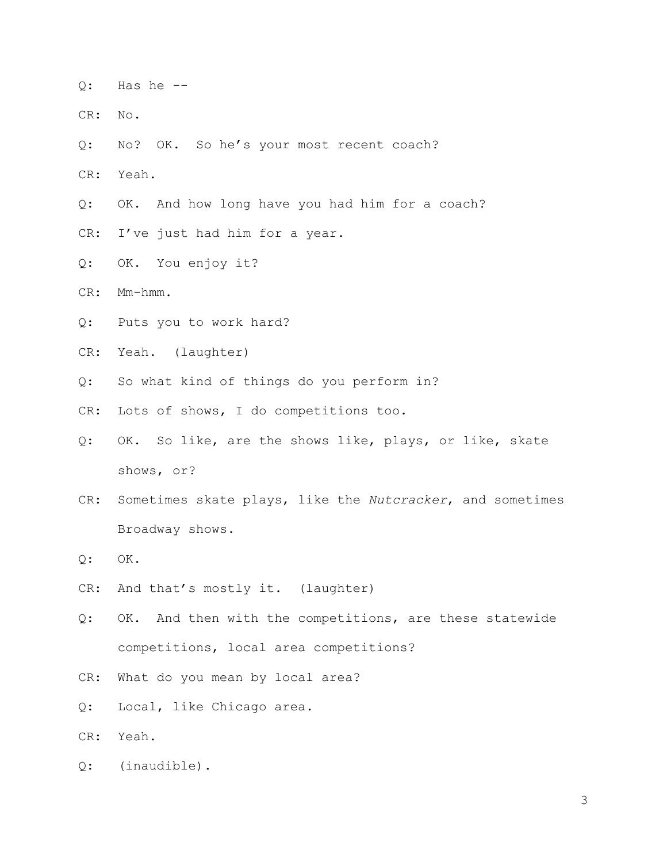- $Q:$  Has he  $-$
- CR: No.
- Q: No? OK. So he's your most recent coach?
- CR: Yeah.
- Q: OK. And how long have you had him for a coach?
- CR: I've just had him for a year.
- Q: OK. You enjoy it?
- CR: Mm-hmm.
- Q: Puts you to work hard?
- CR: Yeah. (laughter)
- Q: So what kind of things do you perform in?
- CR: Lots of shows, I do competitions too.
- Q: OK. So like, are the shows like, plays, or like, skate shows, or?
- CR: Sometimes skate plays, like the *Nutcracker*, and sometimes Broadway shows.
- Q: OK.
- CR: And that's mostly it. (laughter)
- Q: OK. And then with the competitions, are these statewide competitions, local area competitions?
- CR: What do you mean by local area?
- Q: Local, like Chicago area.
- CR: Yeah.
- Q: (inaudible).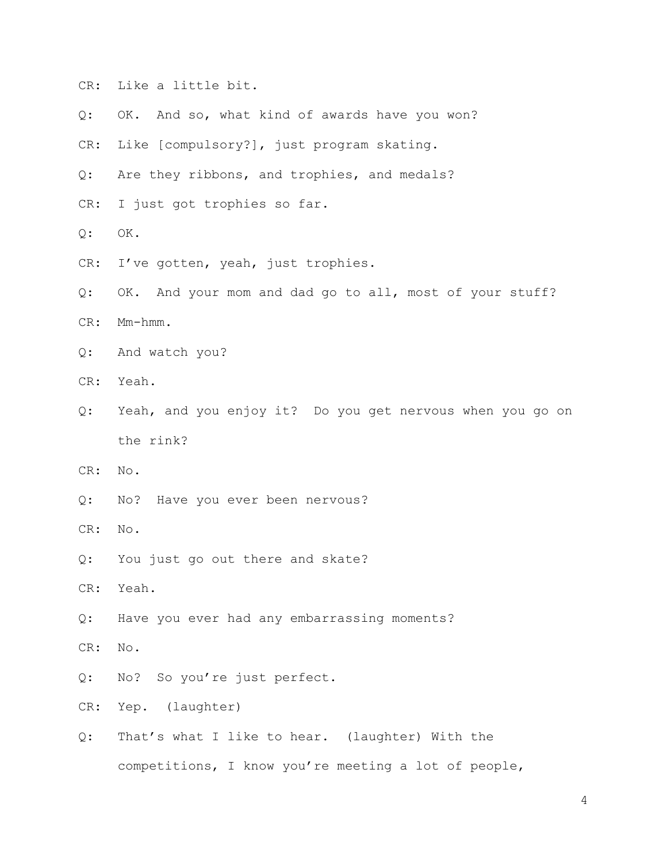- CR: Like a little bit.
- Q: OK. And so, what kind of awards have you won?
- CR: Like [compulsory?], just program skating.
- Q: Are they ribbons, and trophies, and medals?
- CR: I just got trophies so far.
- Q: OK.
- CR: I've gotten, yeah, just trophies.
- Q: OK. And your mom and dad go to all, most of your stuff?
- CR: Mm-hmm.
- Q: And watch you?
- CR: Yeah.
- Q: Yeah, and you enjoy it? Do you get nervous when you go on the rink?
- CR: No.
- Q: No? Have you ever been nervous?
- CR: No.
- Q: You just go out there and skate?
- CR: Yeah.
- Q: Have you ever had any embarrassing moments?
- CR: No.
- Q: No? So you're just perfect.
- CR: Yep. (laughter)
- Q: That's what I like to hear. (laughter) With the competitions, I know you're meeting a lot of people,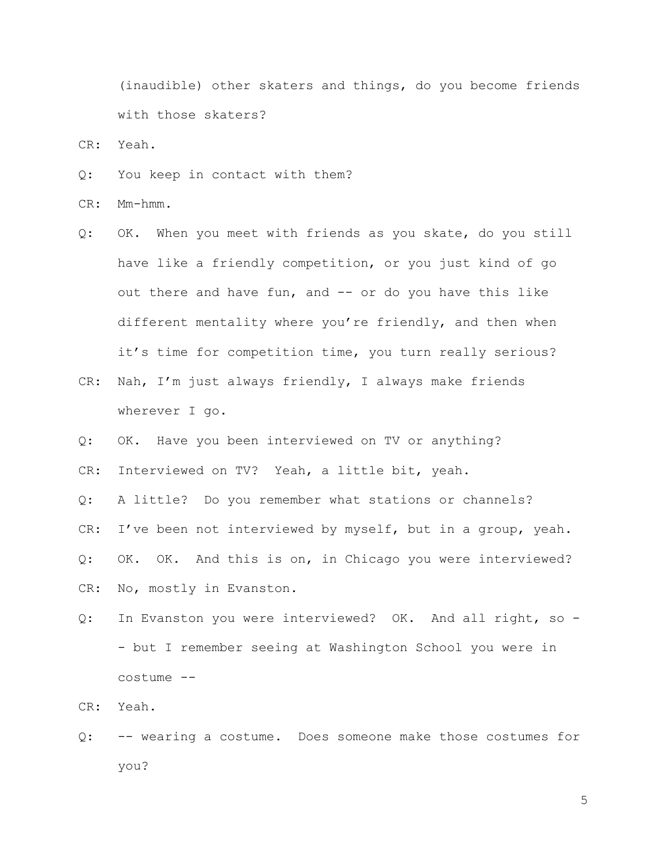(inaudible) other skaters and things, do you become friends with those skaters?

CR: Yeah.

Q: You keep in contact with them?

CR: Mm-hmm.

- Q: OK. When you meet with friends as you skate, do you still have like a friendly competition, or you just kind of go out there and have fun, and -- or do you have this like different mentality where you're friendly, and then when it's time for competition time, you turn really serious?
- CR: Nah, I'm just always friendly, I always make friends wherever I go.
- Q: OK. Have you been interviewed on TV or anything?

CR: Interviewed on TV? Yeah, a little bit, yeah.

Q: A little? Do you remember what stations or channels?

CR: I've been not interviewed by myself, but in a group, yeah.

Q: OK. OK. And this is on, in Chicago you were interviewed?

CR: No, mostly in Evanston.

Q: In Evanston you were interviewed? OK. And all right, so - - but I remember seeing at Washington School you were in costume --

CR: Yeah.

Q: -- wearing a costume. Does someone make those costumes for you?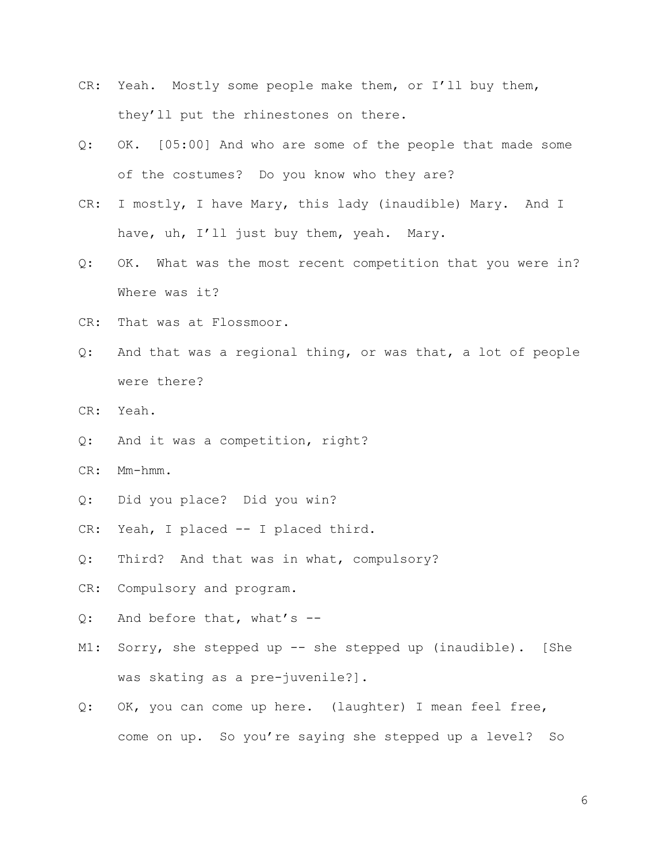- CR: Yeah. Mostly some people make them, or I'll buy them, they'll put the rhinestones on there.
- Q: OK. [05:00] And who are some of the people that made some of the costumes? Do you know who they are?
- CR: I mostly, I have Mary, this lady (inaudible) Mary. And I have, uh, I'll just buy them, yeah. Mary.
- Q: OK. What was the most recent competition that you were in? Where was it?
- CR: That was at Flossmoor.
- Q: And that was a regional thing, or was that, a lot of people were there?
- CR: Yeah.
- Q: And it was a competition, right?
- CR: Mm-hmm.
- Q: Did you place? Did you win?
- CR: Yeah, I placed -- I placed third.
- Q: Third? And that was in what, compulsory?
- CR: Compulsory and program.
- Q: And before that, what's --
- M1: Sorry, she stepped up -- she stepped up (inaudible). [She was skating as a pre-juvenile?].
- Q: OK, you can come up here. (laughter) I mean feel free, come on up. So you're saying she stepped up a level? So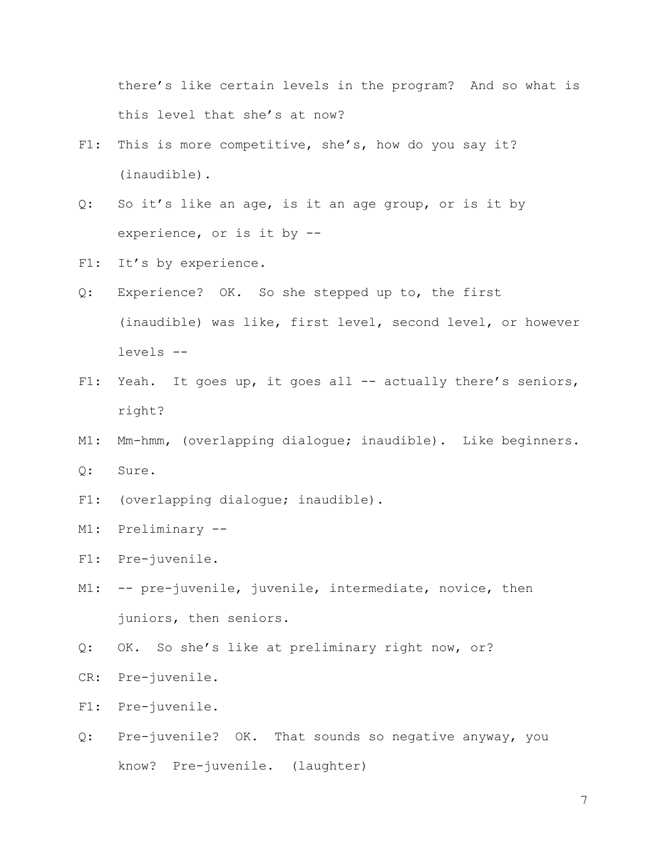there's like certain levels in the program? And so what is this level that she's at now?

- F1: This is more competitive, she's, how do you say it? (inaudible).
- Q: So it's like an age, is it an age group, or is it by experience, or is it by --
- F1: It's by experience.
- Q: Experience? OK. So she stepped up to, the first (inaudible) was like, first level, second level, or however levels --
- F1: Yeah. It goes up, it goes all -- actually there's seniors, right?
- M1: Mm-hmm, (overlapping dialogue; inaudible). Like beginners. Q: Sure.
- F1: (overlapping dialogue; inaudible).
- M1: Preliminary --
- F1: Pre-juvenile.
- M1: -- pre-juvenile, juvenile, intermediate, novice, then juniors, then seniors.
- Q: OK. So she's like at preliminary right now, or?
- CR: Pre-juvenile.
- F1: Pre-juvenile.
- Q: Pre-juvenile? OK. That sounds so negative anyway, you know? Pre-juvenile. (laughter)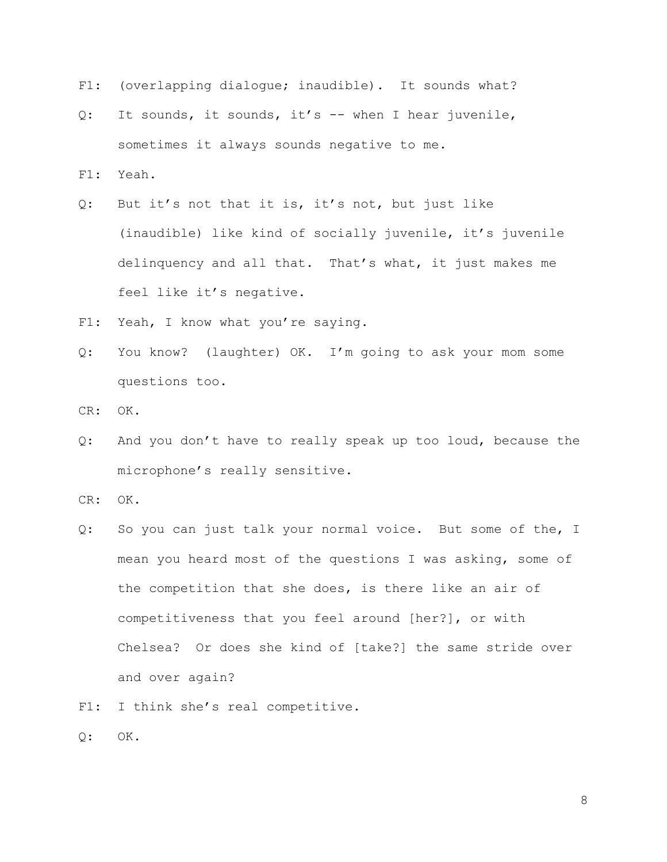- F1: (overlapping dialoque; inaudible). It sounds what?
- Q: It sounds, it sounds, it's -- when I hear juvenile, sometimes it always sounds negative to me.
- F1: Yeah.
- Q: But it's not that it is, it's not, but just like (inaudible) like kind of socially juvenile, it's juvenile delinquency and all that. That's what, it just makes me feel like it's negative.
- F1: Yeah, I know what you're saying.
- Q: You know? (laughter) OK. I'm going to ask your mom some questions too.
- CR: OK.
- Q: And you don't have to really speak up too loud, because the microphone's really sensitive.
- CR: OK.
- Q: So you can just talk your normal voice. But some of the, I mean you heard most of the questions I was asking, some of the competition that she does, is there like an air of competitiveness that you feel around [her?], or with Chelsea? Or does she kind of [take?] the same stride over and over again?
- F1: I think she's real competitive.
- Q: OK.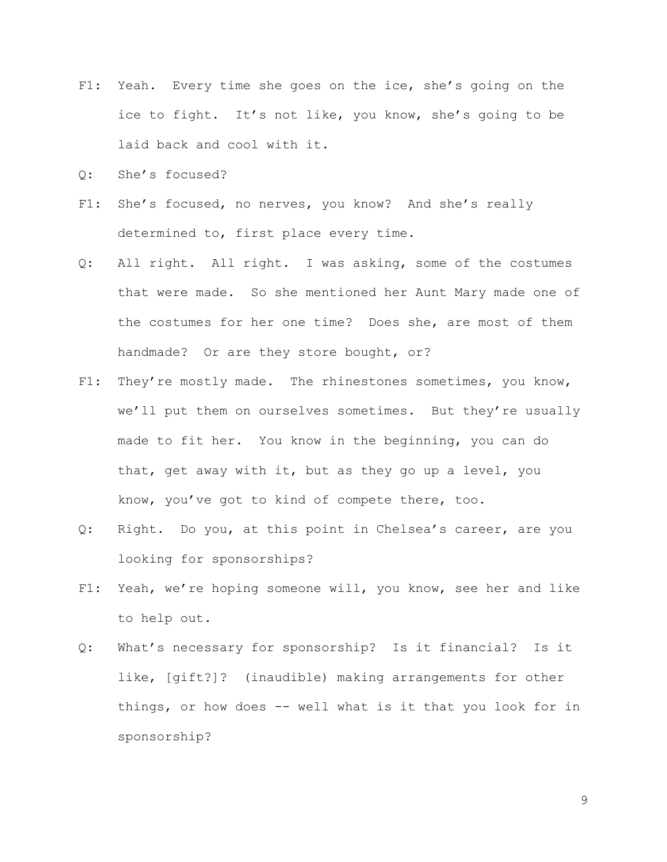- F1: Yeah. Every time she goes on the ice, she's going on the ice to fight. It's not like, you know, she's going to be laid back and cool with it.
- Q: She's focused?
- F1: She's focused, no nerves, you know? And she's really determined to, first place every time.
- Q: All right. All right. I was asking, some of the costumes that were made. So she mentioned her Aunt Mary made one of the costumes for her one time? Does she, are most of them handmade? Or are they store bought, or?
- F1: They're mostly made. The rhinestones sometimes, you know, we'll put them on ourselves sometimes. But they're usually made to fit her. You know in the beginning, you can do that, get away with it, but as they go up a level, you know, you've got to kind of compete there, too.
- Q: Right. Do you, at this point in Chelsea's career, are you looking for sponsorships?
- F1: Yeah, we're hoping someone will, you know, see her and like to help out.
- Q: What's necessary for sponsorship? Is it financial? Is it like, [gift?]? (inaudible) making arrangements for other things, or how does -- well what is it that you look for in sponsorship?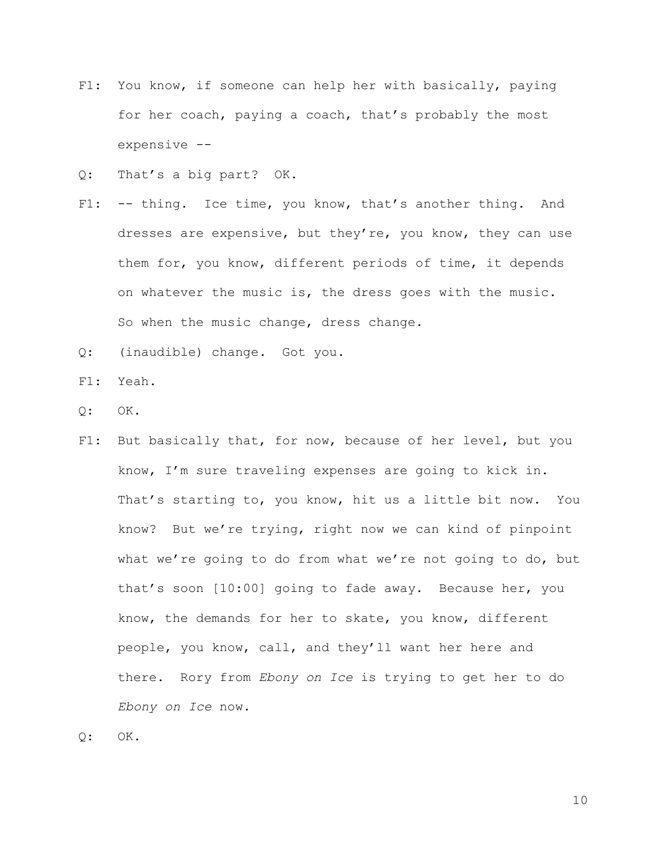- F1: You know, if someone can help her with basically, paying for her coach, paying a coach, that's probably the most expensive --
- Q: That's a big part? OK.
- F1: -- thing. Ice time, you know, that's another thing. And dresses are expensive, but they're, you know, they can use them for, you know, different periods of time, it depends on whatever the music is, the dress goes with the music. So when the music change, dress change.
- Q: (inaudible) change. Got you.
- F1: Yeah.
- $Q:$  OK.
- F1: But basically that, for now, because of her level, but you know, I'm sure traveling expenses are going to kick in. That's starting to, you know, hit us a little bit now. You know? But we're trying, right now we can kind of pinpoint what we're going to do from what we're not going to do, but that's soon [10:00] going to fade away. Because her, you know, the demands for her to skate, you know, different people, you know, call, and they'll want her here and there. Rory from *Ebony on Ice* is trying to get her to do *Ebony on Ice* now.
- Q: OK.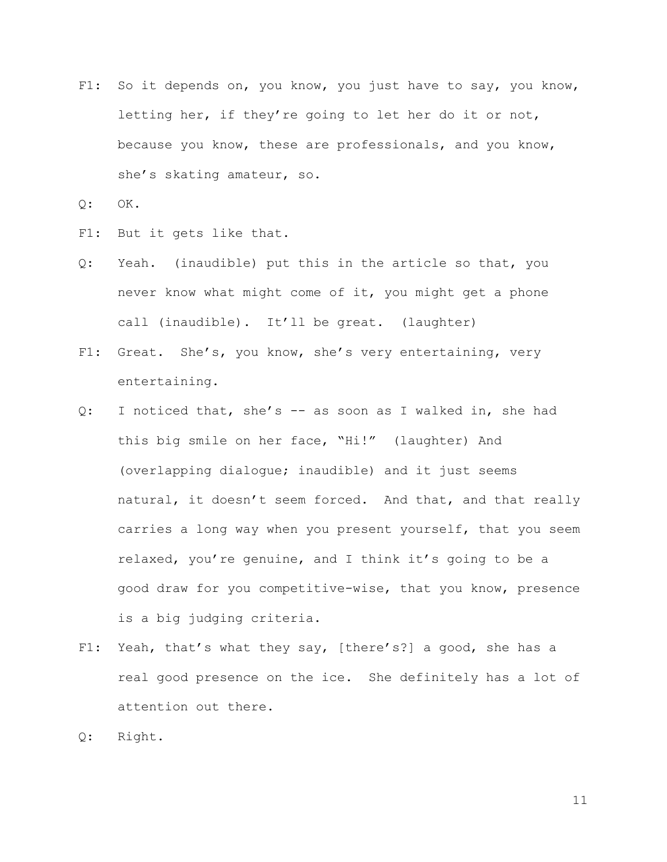F1: So it depends on, you know, you just have to say, you know, letting her, if they're going to let her do it or not, because you know, these are professionals, and you know, she's skating amateur, so.

Q: OK.

- F1: But it gets like that.
- Q: Yeah. (inaudible) put this in the article so that, you never know what might come of it, you might get a phone call (inaudible). It'll be great. (laughter)
- F1: Great. She's, you know, she's very entertaining, very entertaining.
- Q: I noticed that, she's -- as soon as I walked in, she had this big smile on her face, "Hi!" (laughter) And (overlapping dialogue; inaudible) and it just seems natural, it doesn't seem forced. And that, and that really carries a long way when you present yourself, that you seem relaxed, you're genuine, and I think it's going to be a good draw for you competitive-wise, that you know, presence is a big judging criteria.
- F1: Yeah, that's what they say, [there's?] a good, she has a real good presence on the ice. She definitely has a lot of attention out there.
- Q: Right.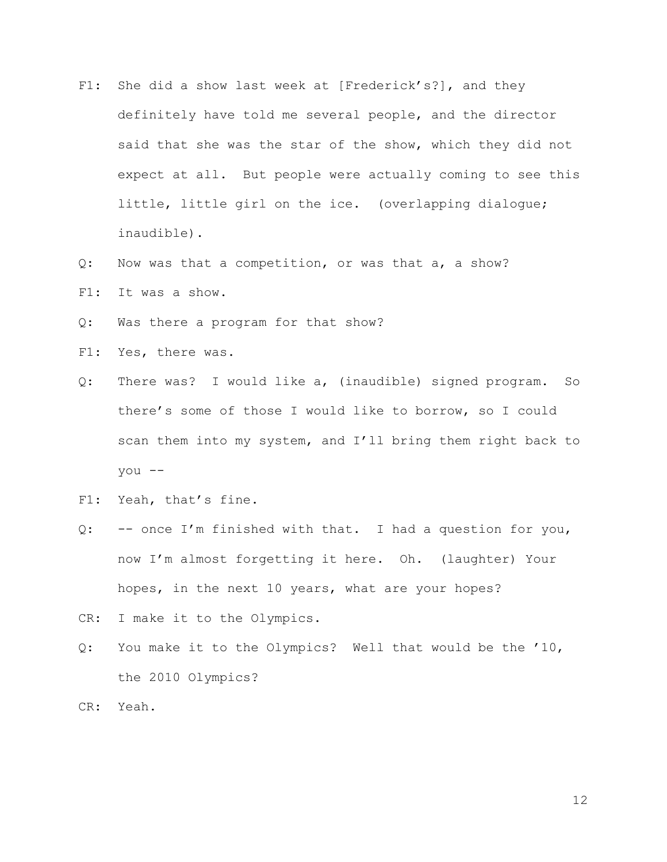- F1: She did a show last week at [Frederick's?], and they definitely have told me several people, and the director said that she was the star of the show, which they did not expect at all. But people were actually coming to see this little, little girl on the ice. (overlapping dialogue; inaudible).
- Q: Now was that a competition, or was that a, a show?
- F1: It was a show.
- Q: Was there a program for that show?
- F1: Yes, there was.
- Q: There was? I would like a, (inaudible) signed program. So there's some of those I would like to borrow, so I could scan them into my system, and I'll bring them right back to you --
- F1: Yeah, that's fine.
- Q: -- once I'm finished with that. I had a question for you, now I'm almost forgetting it here. Oh. (laughter) Your hopes, in the next 10 years, what are your hopes?
- CR: I make it to the Olympics.
- Q: You make it to the Olympics? Well that would be the '10, the 2010 Olympics?
- CR: Yeah.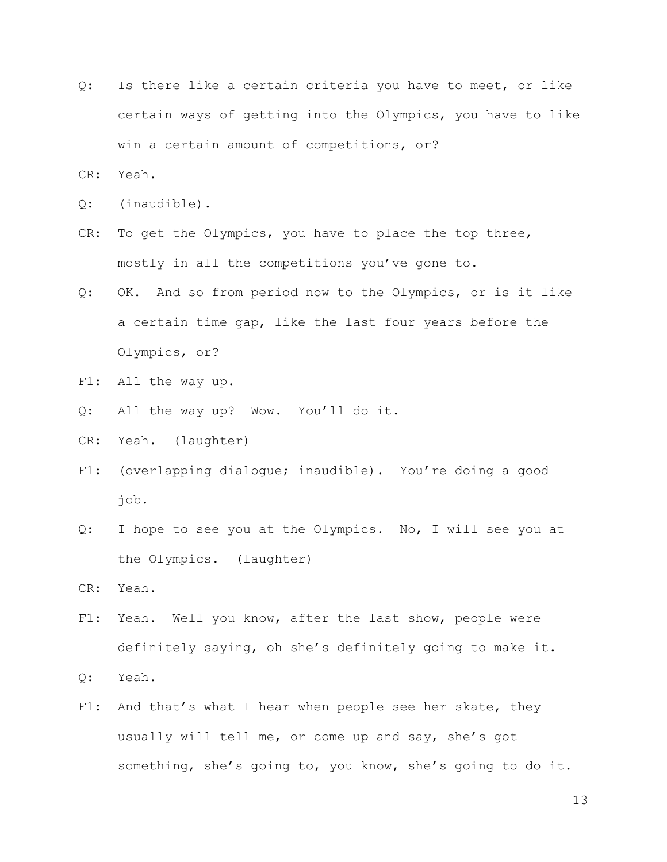- Q: Is there like a certain criteria you have to meet, or like certain ways of getting into the Olympics, you have to like win a certain amount of competitions, or?
- CR: Yeah.
- Q: (inaudible).
- CR: To get the Olympics, you have to place the top three, mostly in all the competitions you've gone to.
- Q: OK. And so from period now to the Olympics, or is it like a certain time gap, like the last four years before the Olympics, or?
- F1: All the way up.
- Q: All the way up? Wow. You'll do it.
- CR: Yeah. (laughter)
- F1: (overlapping dialogue; inaudible). You're doing a good job.
- Q: I hope to see you at the Olympics. No, I will see you at the Olympics. (laughter)

CR: Yeah.

- F1: Yeah. Well you know, after the last show, people were definitely saying, oh she's definitely going to make it.
- Q: Yeah.
- F1: And that's what I hear when people see her skate, they usually will tell me, or come up and say, she's got something, she's going to, you know, she's going to do it.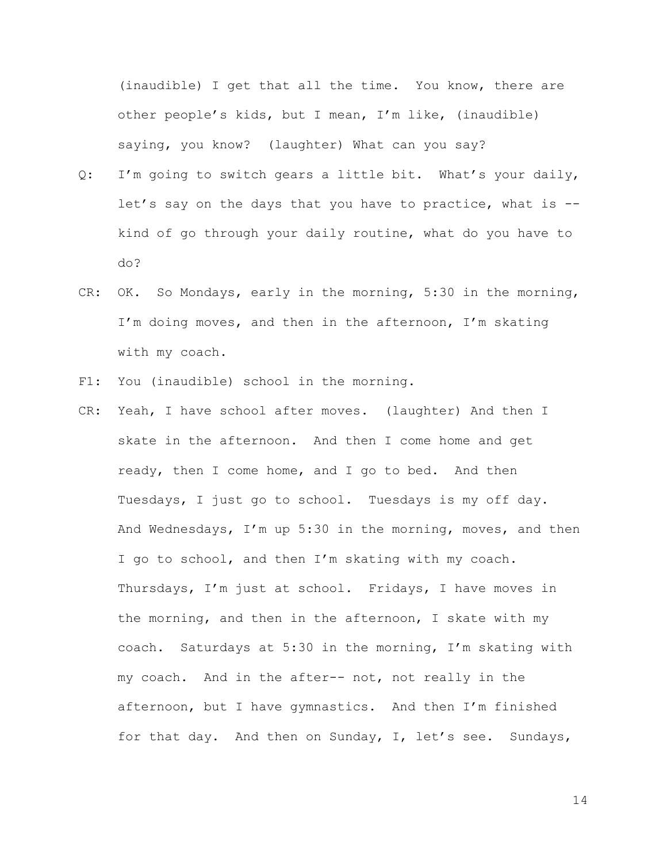(inaudible) I get that all the time. You know, there are other people's kids, but I mean, I'm like, (inaudible) saying, you know? (laughter) What can you say?

- Q: I'm going to switch gears a little bit. What's your daily, let's say on the days that you have to practice, what is - kind of go through your daily routine, what do you have to do?
- CR: OK. So Mondays, early in the morning, 5:30 in the morning, I'm doing moves, and then in the afternoon, I'm skating with my coach.
- F1: You (inaudible) school in the morning.
- CR: Yeah, I have school after moves. (laughter) And then I skate in the afternoon. And then I come home and get ready, then I come home, and I go to bed. And then Tuesdays, I just go to school. Tuesdays is my off day. And Wednesdays, I'm up 5:30 in the morning, moves, and then I go to school, and then I'm skating with my coach. Thursdays, I'm just at school. Fridays, I have moves in the morning, and then in the afternoon, I skate with my coach. Saturdays at 5:30 in the morning, I'm skating with my coach. And in the after-- not, not really in the afternoon, but I have gymnastics. And then I'm finished for that day. And then on Sunday, I, let's see. Sundays,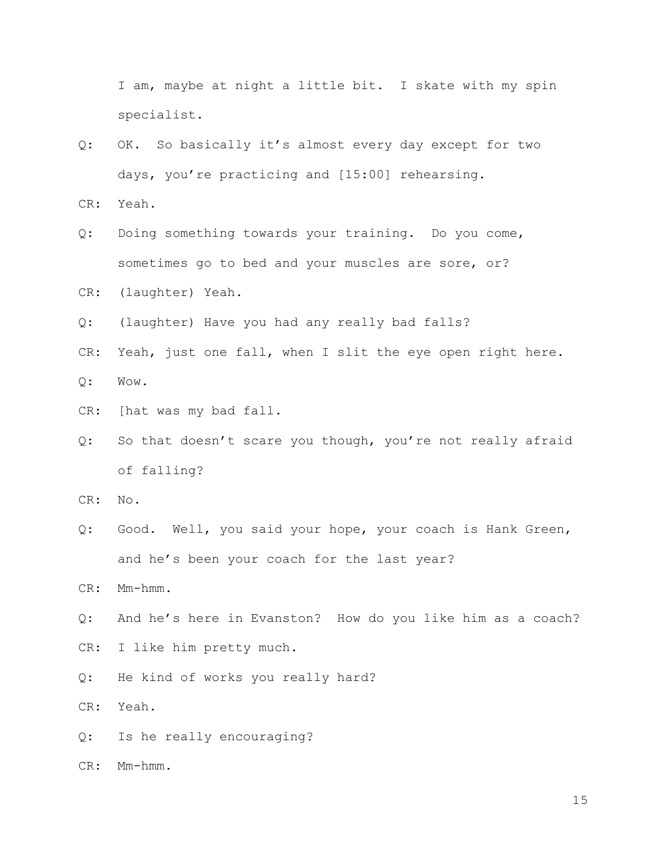I am, maybe at night a little bit. I skate with my spin specialist.

Q: OK. So basically it's almost every day except for two days, you're practicing and [15:00] rehearsing.

CR: Yeah.

- Q: Doing something towards your training. Do you come, sometimes go to bed and your muscles are sore, or?
- CR: (laughter) Yeah.
- Q: (laughter) Have you had any really bad falls?
- CR: Yeah, just one fall, when I slit the eye open right here. Q: Wow.
- CR: [hat was my bad fall.
- Q: So that doesn't scare you though, you're not really afraid of falling?

CR: No.

Q: Good. Well, you said your hope, your coach is Hank Green, and he's been your coach for the last year?

CR: Mm-hmm.

- Q: And he's here in Evanston? How do you like him as a coach?
- CR: I like him pretty much.
- Q: He kind of works you really hard?

CR: Yeah.

Q: Is he really encouraging?

CR: Mm-hmm.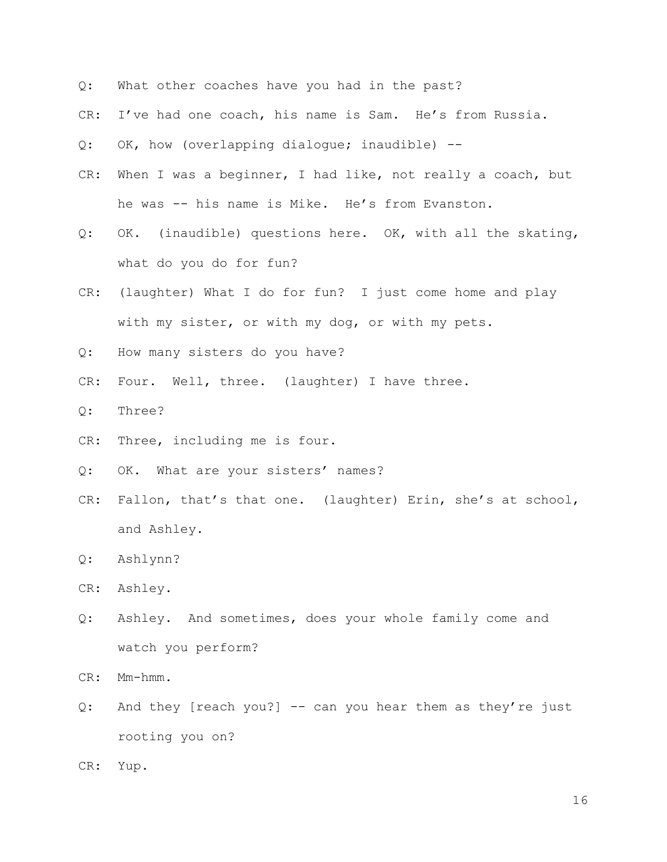- Q: What other coaches have you had in the past?
- CR: I've had one coach, his name is Sam. He's from Russia.
- Q: OK, how (overlapping dialogue; inaudible) --
- CR: When I was a beginner, I had like, not really a coach, but he was -- his name is Mike. He's from Evanston.
- Q: OK. (inaudible) questions here. OK, with all the skating, what do you do for fun?
- CR: (laughter) What I do for fun? I just come home and play with my sister, or with my dog, or with my pets.
- Q: How many sisters do you have?
- CR: Four. Well, three. (laughter) I have three.
- Q: Three?
- CR: Three, including me is four.
- Q: OK. What are your sisters' names?
- CR: Fallon, that's that one. (laughter) Erin, she's at school, and Ashley.
- Q: Ashlynn?
- CR: Ashley.
- Q: Ashley. And sometimes, does your whole family come and watch you perform?

CR: Mm-hmm.

- Q: And they [reach you?] -- can you hear them as they're just rooting you on?
- CR: Yup.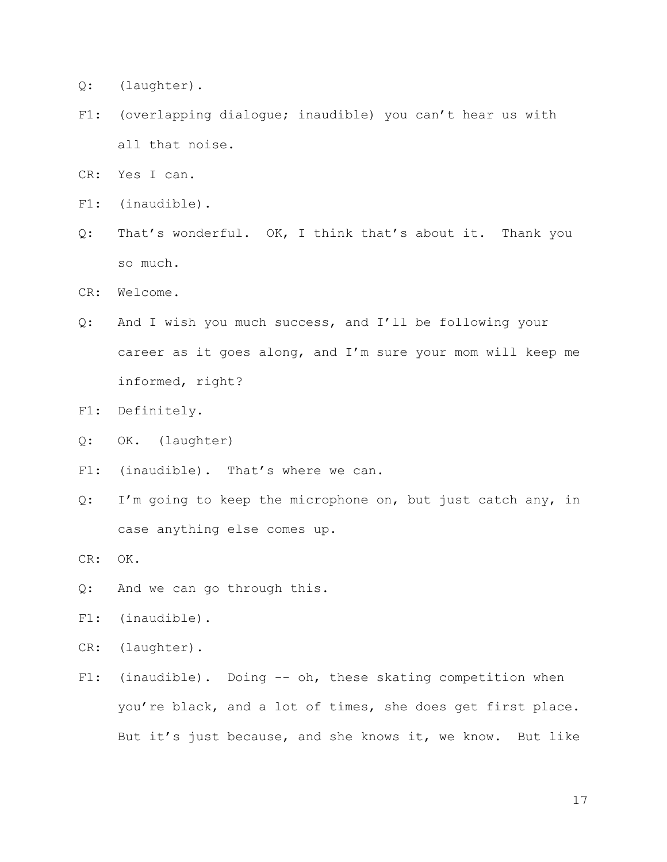- Q: (laughter).
- F1: (overlapping dialogue; inaudible) you can't hear us with all that noise.
- CR: Yes I can.
- F1: (inaudible).
- Q: That's wonderful. OK, I think that's about it. Thank you so much.
- CR: Welcome.
- Q: And I wish you much success, and I'll be following your career as it goes along, and I'm sure your mom will keep me informed, right?
- F1: Definitely.
- Q: OK. (laughter)
- F1: (inaudible). That's where we can.
- Q: I'm going to keep the microphone on, but just catch any, in case anything else comes up.

CR: OK.

- Q: And we can go through this.
- F1: (inaudible).
- CR: (laughter).
- F1: (inaudible). Doing -- oh, these skating competition when you're black, and a lot of times, she does get first place. But it's just because, and she knows it, we know. But like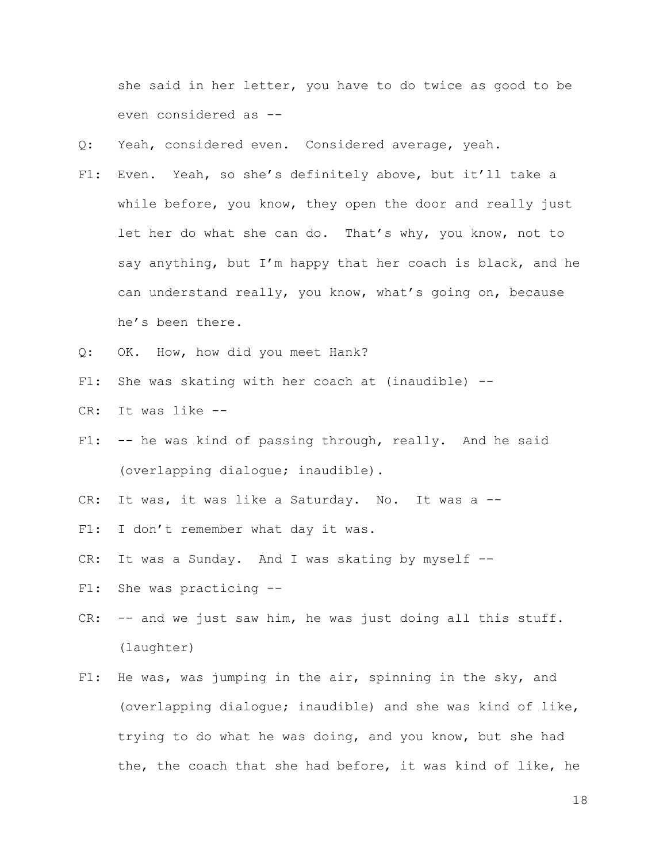she said in her letter, you have to do twice as good to be even considered as --

- Q: Yeah, considered even. Considered average, yeah.
- F1: Even. Yeah, so she's definitely above, but it'll take a while before, you know, they open the door and really just let her do what she can do. That's why, you know, not to say anything, but I'm happy that her coach is black, and he can understand really, you know, what's going on, because he's been there.
- Q: OK. How, how did you meet Hank?
- F1: She was skating with her coach at (inaudible) --
- CR: It was like --
- F1: -- he was kind of passing through, really. And he said (overlapping dialogue; inaudible).
- CR: It was, it was like a Saturday. No. It was a --
- F1: I don't remember what day it was.
- CR: It was a Sunday. And I was skating by myself --
- F1: She was practicing --
- CR: -- and we just saw him, he was just doing all this stuff. (laughter)
- F1: He was, was jumping in the air, spinning in the sky, and (overlapping dialogue; inaudible) and she was kind of like, trying to do what he was doing, and you know, but she had the, the coach that she had before, it was kind of like, he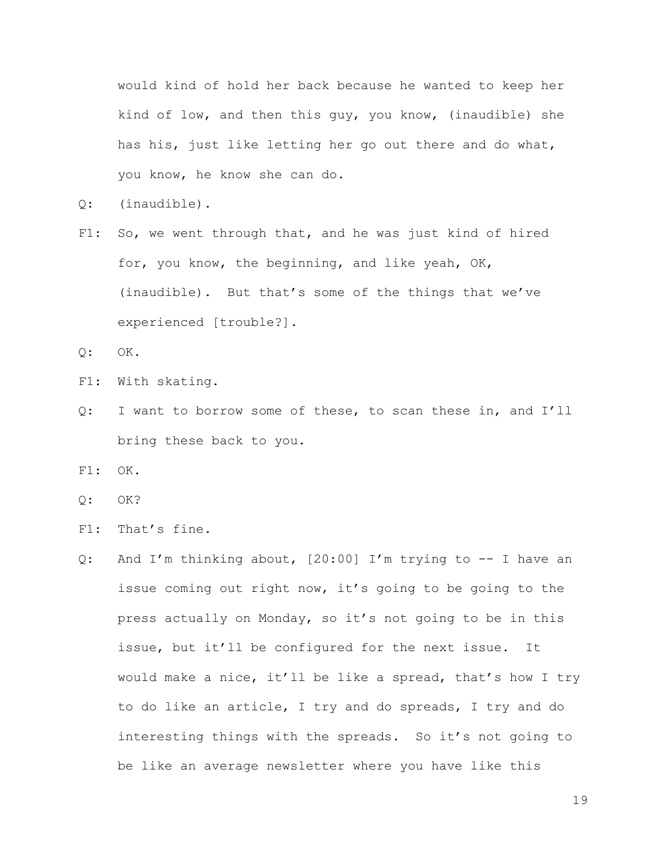would kind of hold her back because he wanted to keep her kind of low, and then this guy, you know, (inaudible) she has his, just like letting her go out there and do what, you know, he know she can do.

- Q: (inaudible).
- F1: So, we went through that, and he was just kind of hired for, you know, the beginning, and like yeah, OK, (inaudible). But that's some of the things that we've experienced [trouble?].

Q: OK.

- F1: With skating.
- Q: I want to borrow some of these, to scan these in, and I'll bring these back to you.

F1: OK.

- Q: OK?
- F1: That's fine.
- Q: And I'm thinking about, [20:00] I'm trying to -- I have an issue coming out right now, it's going to be going to the press actually on Monday, so it's not going to be in this issue, but it'll be configured for the next issue. It would make a nice, it'll be like a spread, that's how I try to do like an article, I try and do spreads, I try and do interesting things with the spreads. So it's not going to be like an average newsletter where you have like this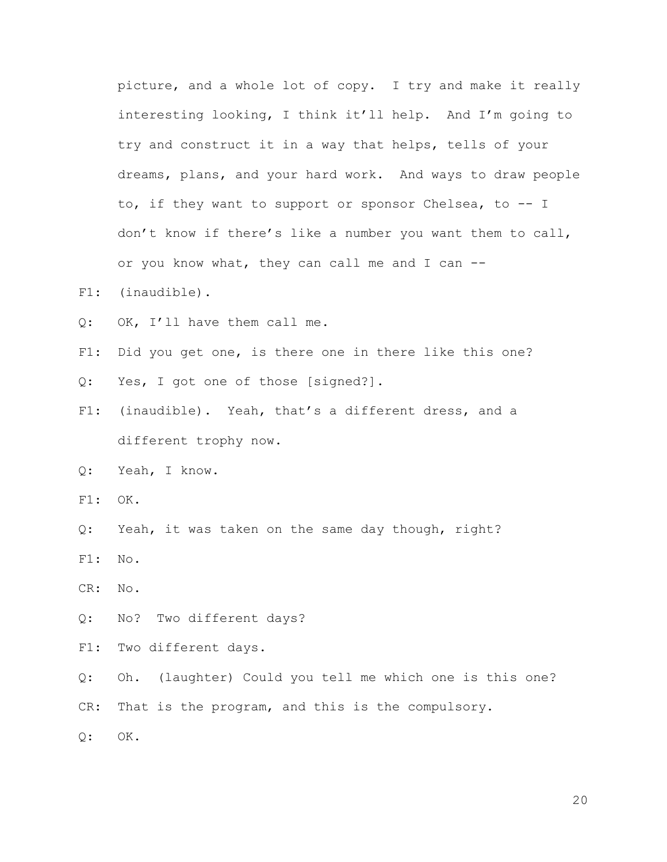picture, and a whole lot of copy. I try and make it really interesting looking, I think it'll help. And I'm going to try and construct it in a way that helps, tells of your dreams, plans, and your hard work. And ways to draw people to, if they want to support or sponsor Chelsea, to -- I don't know if there's like a number you want them to call, or you know what, they can call me and I can --

- F1: (inaudible).
- Q: OK, I'll have them call me.
- F1: Did you get one, is there one in there like this one?
- Q: Yes, I got one of those [signed?].
- F1: (inaudible). Yeah, that's a different dress, and a different trophy now.
- Q: Yeah, I know.
- F1: OK.
- Q: Yeah, it was taken on the same day though, right?
- F1: No.
- CR: No.
- Q: No? Two different days?
- F1: Two different days.
- Q: Oh. (laughter) Could you tell me which one is this one?

CR: That is the program, and this is the compulsory.

Q: OK.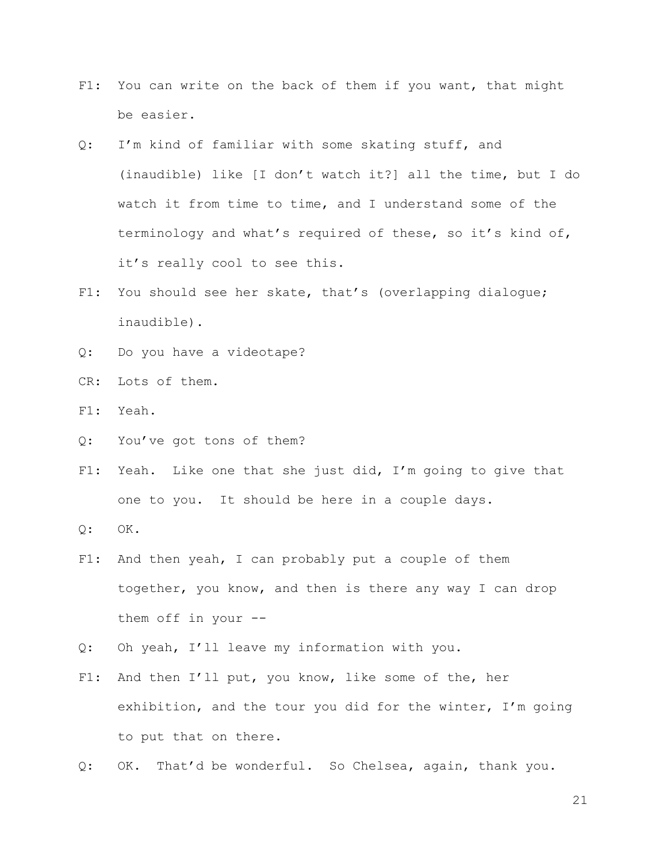- F1: You can write on the back of them if you want, that might be easier.
- Q: I'm kind of familiar with some skating stuff, and (inaudible) like [I don't watch it?] all the time, but I do watch it from time to time, and I understand some of the terminology and what's required of these, so it's kind of, it's really cool to see this.
- F1: You should see her skate, that's (overlapping dialogue; inaudible).
- Q: Do you have a videotape?
- CR: Lots of them.
- F1: Yeah.
- Q: You've got tons of them?
- F1: Yeah. Like one that she just did, I'm going to give that one to you. It should be here in a couple days.
- Q: OK.
- F1: And then yeah, I can probably put a couple of them together, you know, and then is there any way I can drop them off in your --
- Q: Oh yeah, I'll leave my information with you.
- F1: And then I'll put, you know, like some of the, her exhibition, and the tour you did for the winter, I'm going to put that on there.
- Q: OK. That'd be wonderful. So Chelsea, again, thank you.